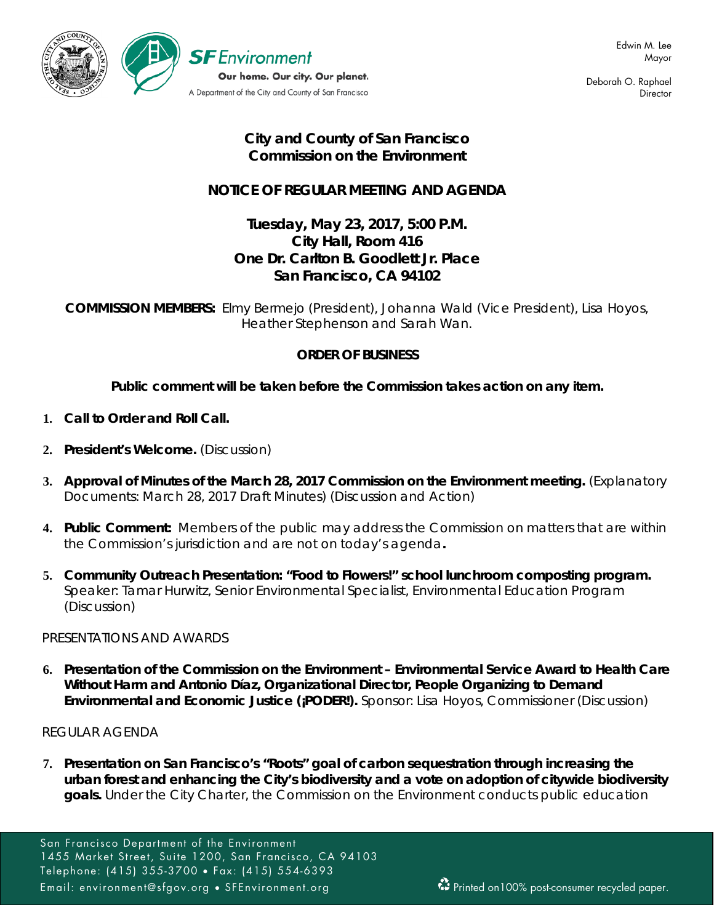

Deborah O. Raphael **Director** 

# **City and County of San Francisco Commission on the Environment**

# **NOTICE OF REGULAR MEETING AND AGENDA**

# **Tuesday, May 23, 2017, 5:00 P.M. City Hall, Room 416 One Dr. Carlton B. Goodlett Jr. Place San Francisco, CA 94102**

**COMMISSION MEMBERS:** Elmy Bermejo (President), Johanna Wald (Vice President), Lisa Hoyos, Heather Stephenson and Sarah Wan.

## **ORDER OF BUSINESS**

## **Public comment will be taken before the Commission takes action on any item.**

- **1. Call to Order and Roll Call.**
- **2. President's Welcome.** (Discussion)
- **3. Approval of Minutes of the March 28, 2017 Commission on the Environment meeting.** (Explanatory Documents: March 28, 2017 Draft Minutes) (Discussion and Action)
- **4. Public Comment:** Members of the public may address the Commission on matters that are within the Commission's jurisdiction and are not on today's agenda**.**
- **5. Community Outreach Presentation: "Food to Flowers!" school lunchroom composting program.**  Speaker: Tamar Hurwitz, Senior Environmental Specialist, Environmental Education Program (Discussion)

## PRESENTATIONS AND AWARDS

**6. Presentation of the Commission on the Environment – Environmental Service Award to Health Care Without Harm and Antonio Díaz, Organizational Director, People Organizing to Demand Environmental and Economic Justice (¡PODER!).** Sponsor: Lisa Hoyos, Commissioner (Discussion)

REGULAR AGENDA

**7. Presentation on San Francisco's "Roots" goal of carbon sequestration through increasing the urban forest and enhancing the City's biodiversity and a vote on adoption of citywide biodiversity goals.** Under the City Charter, the Commission on the Environment conducts public education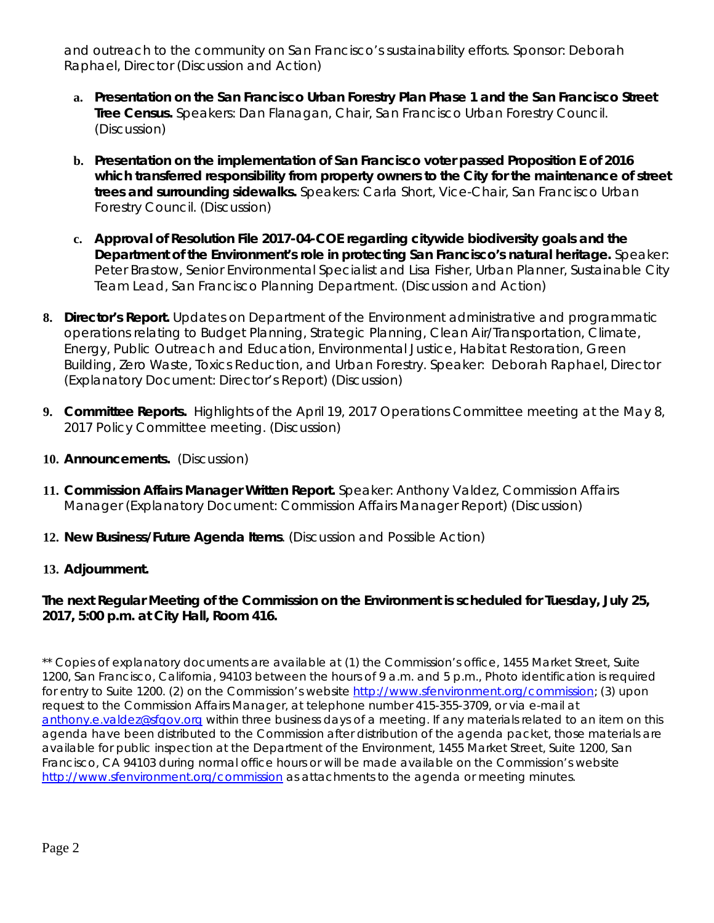and outreach to the community on San Francisco's sustainability efforts. Sponsor: Deborah Raphael, Director (Discussion and Action)

- **a. Presentation on the San Francisco Urban Forestry Plan Phase 1 and the San Francisco Street Tree Census.** Speakers: Dan Flanagan, Chair, San Francisco Urban Forestry Council. (Discussion)
- **b. Presentation on the implementation of San Francisco voter passed Proposition E of 2016 which transferred responsibility from property owners to the City for the maintenance of street trees and surrounding sidewalks.** Speakers: Carla Short, Vice-Chair, San Francisco Urban Forestry Council. (Discussion)
- **c. Approval of Resolution File 2017-04-COE regarding citywide biodiversity goals and the Department of the Environment's role in protecting San Francisco's natural heritage.** Speaker: Peter Brastow, Senior Environmental Specialist and Lisa Fisher, Urban Planner, Sustainable City Team Lead, San Francisco Planning Department. (Discussion and Action)
- **8. Director's Report***.* Updates on Department of the Environment administrative and programmatic operations relating to Budget Planning, Strategic Planning, Clean Air/Transportation, Climate, Energy, Public Outreach and Education, Environmental Justice, Habitat Restoration, Green Building, Zero Waste, Toxics Reduction, and Urban Forestry. Speaker: Deborah Raphael, Director (Explanatory Document: Director's Report) (Discussion)
- **9. Committee Reports.** Highlights of the April 19, 2017 Operations Committee meeting at the May 8, 2017 Policy Committee meeting. (Discussion)
- **10. Announcements.** (Discussion)
- **11. Commission Affairs Manager Written Report.** Speaker: Anthony Valdez, Commission Affairs Manager (Explanatory Document: Commission Affairs Manager Report) (Discussion)
- **12. New Business/Future Agenda Items**. (Discussion and Possible Action)
- **13. Adjournment.**

## **The next Regular Meeting of the Commission on the Environment is scheduled for Tuesday, July 25, 2017, 5:00 p.m. at City Hall, Room 416.**

\*\* Copies of explanatory documents are available at (1) the Commission's office, 1455 Market Street, Suite 1200, San Francisco, California, 94103 between the hours of 9 a.m. and 5 p.m., Photo identification is required for entry to Suite 1200. (2) on the Commission's website [http://www.sfenvironment.org/commission;](http://www.sfenvironment.org/commission) (3) upon request to the Commission Affairs Manager, at telephone number 415-355-3709, or via e-mail at [anthony.e.valdez@sfgov.org](mailto:anthony.e.valdez@sfgov.org) within three business days of a meeting. If any materials related to an item on this agenda have been distributed to the Commission after distribution of the agenda packet, those materials are available for public inspection at the Department of the Environment, 1455 Market Street, Suite 1200, San Francisco, CA 94103 during normal office hours or will be made available on the Commission's website <http://www.sfenvironment.org/commission> as attachments to the agenda or meeting minutes.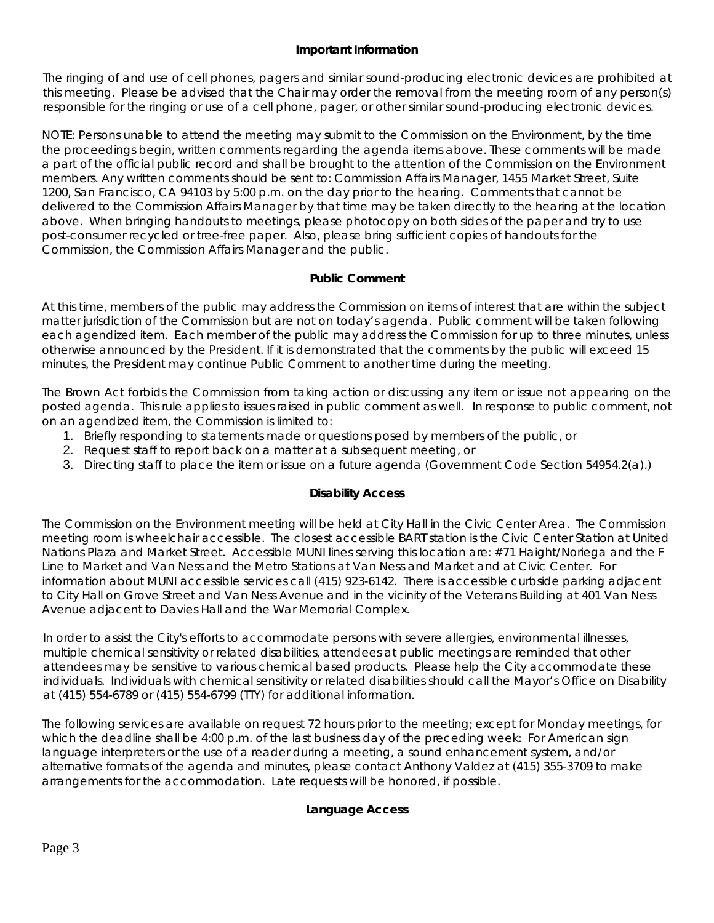### **Important Information**

The ringing of and use of cell phones, pagers and similar sound-producing electronic devices are prohibited at this meeting. Please be advised that the Chair may order the removal from the meeting room of any person(s) responsible for the ringing or use of a cell phone, pager, or other similar sound-producing electronic devices.

NOTE: Persons unable to attend the meeting may submit to the Commission on the Environment, by the time the proceedings begin, written comments regarding the agenda items above. These comments will be made a part of the official public record and shall be brought to the attention of the Commission on the Environment members. Any written comments should be sent to: Commission Affairs Manager, 1455 Market Street, Suite 1200, San Francisco, CA 94103 by 5:00 p.m. on the day prior to the hearing. Comments that cannot be delivered to the Commission Affairs Manager by that time may be taken directly to the hearing at the location above. When bringing handouts to meetings, please photocopy on both sides of the paper and try to use post-consumer recycled or tree-free paper. Also, please bring sufficient copies of handouts for the Commission, the Commission Affairs Manager and the public.

### **Public Comment**

At this time, members of the public may address the Commission on items of interest that are within the subject matter jurisdiction of the Commission but are not on today's agenda. Public comment will be taken following each agendized item. Each member of the public may address the Commission for up to three minutes, unless otherwise announced by the President. If it is demonstrated that the comments by the public will exceed 15 minutes, the President may continue Public Comment to another time during the meeting.

The Brown Act forbids the Commission from taking action or discussing any item or issue not appearing on the posted agenda. This rule applies to issues raised in public comment as well. In response to public comment, not on an agendized item, the Commission is limited to:

- 1. Briefly responding to statements made or questions posed by members of the public, or
- 2. Request staff to report back on a matter at a subsequent meeting, or
- 3. Directing staff to place the item or issue on a future agenda (Government Code Section 54954.2(a).)

## **Disability Access**

The Commission on the Environment meeting will be held at City Hall in the Civic Center Area. The Commission meeting room is wheelchair accessible. The closest accessible BART station is the Civic Center Station at United Nations Plaza and Market Street. Accessible MUNI lines serving this location are: #71 Haight/Noriega and the F Line to Market and Van Ness and the Metro Stations at Van Ness and Market and at Civic Center. For information about MUNI accessible services call (415) 923-6142. There is accessible curbside parking adjacent to City Hall on Grove Street and Van Ness Avenue and in the vicinity of the Veterans Building at 401 Van Ness Avenue adjacent to Davies Hall and the War Memorial Complex.

In order to assist the City's efforts to accommodate persons with severe allergies, environmental illnesses, multiple chemical sensitivity or related disabilities, attendees at public meetings are reminded that other attendees may be sensitive to various chemical based products. Please help the City accommodate these individuals. Individuals with chemical sensitivity or related disabilities should call the Mayor's Office on Disability at (415) 554-6789 or (415) 554-6799 (TTY) for additional information.

The following services are available on request 72 hours prior to the meeting; except for Monday meetings, for which the deadline shall be 4:00 p.m. of the last business day of the preceding week: For American sign language interpreters or the use of a reader during a meeting, a sound enhancement system, and/or alternative formats of the agenda and minutes, please contact Anthony Valdez at (415) 355-3709 to make arrangements for the accommodation. Late requests will be honored, if possible.

### **Language Access**